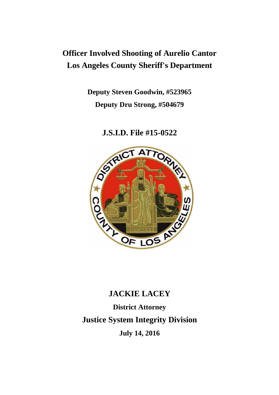## **Officer Involved Shooting of Aurelio Cantor Los Angeles County Sheriff's Department**

**Deputy Steven Goodwin, #523965 Deputy Dru Strong, #504679**

**J.S.I.D. File #15-0522**



# **JACKIE LACEY District Attorney Justice System Integrity Division July 14, 2016**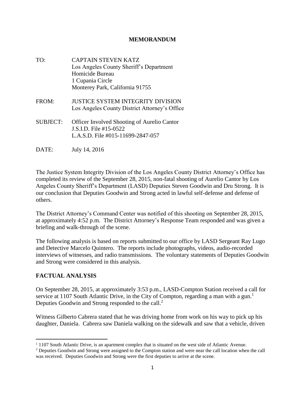#### **MEMORANDUM**

- TO: CAPTAIN STEVEN KATZ Los Angeles County Sheriff's Department Homicide Bureau 1 Cupania Circle Monterey Park, California 91755
- FROM: JUSTICE SYSTEM INTEGRITY DIVISION Los Angeles County District Attorney's Office
- SUBJECT: Officer Involved Shooting of Aurelio Cantor J.S.I.D. File #15-0522 L.A.S.D. File #015-11699-2847-057
- DATE: July 14, 2016

The Justice System Integrity Division of the Los Angeles County District Attorney's Office has completed its review of the September 28, 2015, non-fatal shooting of Aurelio Cantor by Los Angeles County Sheriff's Department (LASD) Deputies Steven Goodwin and Dru Strong. It is our conclusion that Deputies Goodwin and Strong acted in lawful self-defense and defense of others.

The District Attorney's Command Center was notified of this shooting on September 28, 2015, at approximately 4:52 p.m. The District Attorney's Response Team responded and was given a briefing and walk-through of the scene.

The following analysis is based on reports submitted to our office by LASD Sergeant Ray Lugo and Detective Marcelo Quintero. The reports include photographs, videos, audio-recorded interviews of witnesses, and radio transmissions. The voluntary statements of Deputies Goodwin and Strong were considered in this analysis.

#### **FACTUAL ANALYSIS**

On September 28, 2015, at approximately 3:53 p.m., LASD-Compton Station received a call for service at 1107 South Atlantic Drive, in the City of Compton, regarding a man with a gun.<sup>1</sup> Deputies Goodwin and Strong responded to the call. $2$ 

Witness Gilberto Cabrera stated that he was driving home from work on his way to pick up his daughter, Daniela. Cabrera saw Daniela walking on the sidewalk and saw that a vehicle, driven

 $\overline{\phantom{a}}$ <sup>1</sup> 1107 South Atlantic Drive, is an apartment complex that is situated on the west side of Atlantic Avenue.

<sup>&</sup>lt;sup>2</sup> Deputies Goodwin and Strong were assigned to the Compton station and were near the call location when the call was received. Deputies Goodwin and Strong were the first deputies to arrive at the scene.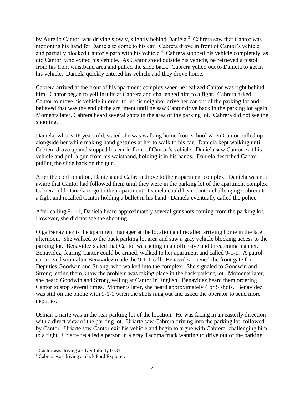by Aurelio Cantor, was driving slowly, slightly behind Daniela.<sup>3</sup> Cabrera saw that Cantor was motioning his hand for Daniela to come to his car. Cabrera drove in front of Cantor's vehicle and partially blocked Cantor's path with his vehicle.<sup>4</sup> Cabrera stopped his vehicle completely, as did Cantor, who exited his vehicle. As Cantor stood outside his vehicle, he retrieved a pistol from his front waistband area and pulled the slide back. Cabrera yelled out to Daniela to get in his vehicle. Daniela quickly entered his vehicle and they drove home.

Cabrera arrived at the front of his apartment complex when he realized Cantor was right behind him. Cantor began to yell insults at Cabrera and challenged him to a fight. Cabrera asked Cantor to move his vehicle in order to let his neighbor drive her car out of the parking lot and believed that was the end of the argument until he saw Cantor drive back in the parking lot again. Moments later, Cabrera heard several shots in the area of the parking lot. Cabrera did not see the shooting.

Daniela, who is 16 years old, stated she was walking home from school when Cantor pulled up alongside her while making hand gestures at her to walk to his car. Daniela kept walking until Cabrera drove up and stopped his car in front of Cantor's vehicle. Daniela saw Cantor exit his vehicle and pull a gun from his waistband, holding it in his hands. Daniela described Cantor pulling the slide back on the gun.

After the confrontation, Daniela and Cabrera drove to their apartment complex. Daniela was not aware that Cantor had followed them until they were in the parking lot of the apartment complex. Cabrera told Daniela to go to their apartment. Daniela could hear Cantor challenging Cabrera to a fight and recalled Cantor holding a bullet in his hand. Daniela eventually called the police.

After calling 9-1-1, Daniela heard approximately several gunshots coming from the parking lot. However, she did not see the shooting.

Olga Benavidez is the apartment manager at the location and recalled arriving home in the late afternoon. She walked to the back parking lot area and saw a gray vehicle blocking access to the parking lot. Benavidez stated that Cantor was acting in an offensive and threatening manner. Benavidez, fearing Cantor could be armed, walked to her apartment and called 9-1-1. A patrol car arrived soon after Benavidez made the 9-1-1 call. Benavidez opened the front gate for Deputies Goodwin and Strong, who walked into the complex. She signaled to Goodwin and Strong letting them know the problem was taking place in the back parking lot. Moments later, she heard Goodwin and Strong yelling at Cantor in English. Benavidez heard them ordering Cantor to stop several times. Moments later, she heard approximately 4 or 5 shots. Benavidez was still on the phone with 9-1-1 when the shots rang out and asked the operator to send more deputies.

Osman Uriarte was in the rear parking lot of the location. He was facing in an easterly direction with a direct view of the parking lot. Uriarte saw Cabrera driving into the parking lot, followed by Cantor. Uriarte saw Cantor exit his vehicle and begin to argue with Cabrera, challenging him to a fight. Uriarte recalled a person in a gray Tacoma truck wanting to drive out of the parking

 $\overline{\phantom{a}}$ 

<sup>3</sup> Cantor was driving a silver Infinity G-35.

<sup>4</sup> Cabrera was driving a black Ford Explorer.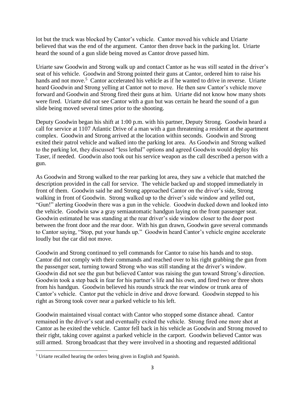lot but the truck was blocked by Cantor's vehicle. Cantor moved his vehicle and Uriarte believed that was the end of the argument. Cantor then drove back in the parking lot. Uriarte heard the sound of a gun slide being moved as Cantor drove passed him.

Uriarte saw Goodwin and Strong walk up and contact Cantor as he was still seated in the driver's seat of his vehicle. Goodwin and Strong pointed their guns at Cantor, ordered him to raise his hands and not move.<sup>5</sup> Cantor accelerated his vehicle as if he wanted to drive in reverse. Uriarte heard Goodwin and Strong yelling at Cantor not to move. He then saw Cantor's vehicle move forward and Goodwin and Strong fired their guns at him. Uriarte did not know how many shots were fired. Uriarte did not see Cantor with a gun but was certain he heard the sound of a gun slide being moved several times prior to the shooting.

Deputy Goodwin began his shift at 1:00 p.m. with his partner, Deputy Strong. Goodwin heard a call for service at 1107 Atlantic Drive of a man with a gun threatening a resident at the apartment complex. Goodwin and Strong arrived at the location within seconds. Goodwin and Strong exited their patrol vehicle and walked into the parking lot area. As Goodwin and Strong walked to the parking lot, they discussed "less lethal" options and agreed Goodwin would deploy his Taser, if needed. Goodwin also took out his service weapon as the call described a person with a gun.

As Goodwin and Strong walked to the rear parking lot area, they saw a vehicle that matched the description provided in the call for service. The vehicle backed up and stopped immediately in front of them. Goodwin said he and Strong approached Cantor on the driver's side, Strong walking in front of Goodwin. Strong walked up to the driver's side window and yelled out, "Gun!" alerting Goodwin there was a gun in the vehicle. Goodwin ducked down and looked into the vehicle. Goodwin saw a gray semiautomatic handgun laying on the front passenger seat. Goodwin estimated he was standing at the rear driver's side window closer to the door post between the front door and the rear door. With his gun drawn, Goodwin gave several commands to Cantor saying, "Stop, put your hands up." Goodwin heard Cantor's vehicle engine accelerate loudly but the car did not move.

Goodwin and Strong continued to yell commands for Cantor to raise his hands and to stop. Cantor did not comply with their commands and reached over to his right grabbing the gun from the passenger seat, turning toward Strong who was still standing at the driver's window. Goodwin did not see the gun but believed Cantor was raising the gun toward Strong's direction. Goodwin took a step back in fear for his partner's life and his own, and fired two or three shots from his handgun. Goodwin believed his rounds struck the rear window or trunk area of Cantor's vehicle. Cantor put the vehicle in drive and drove forward. Goodwin stepped to his right as Strong took cover near a parked vehicle to his left.

Goodwin maintained visual contact with Cantor who stopped some distance ahead. Cantor remained in the driver's seat and eventually exited the vehicle. Strong fired one more shot at Cantor as he exited the vehicle. Cantor fell back in his vehicle as Goodwin and Strong moved to their right, taking cover against a parked vehicle in the carport. Goodwin believed Cantor was still armed. Strong broadcast that they were involved in a shooting and requested additional

 $\overline{\phantom{a}}$ 

<sup>&</sup>lt;sup>5</sup> Uriarte recalled hearing the orders being given in English and Spanish.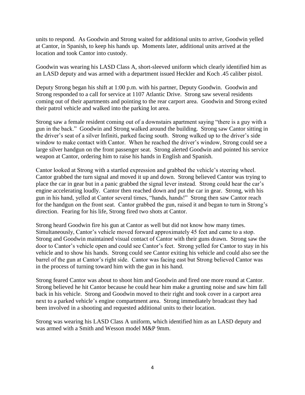units to respond. As Goodwin and Strong waited for additional units to arrive, Goodwin yelled at Cantor, in Spanish, to keep his hands up. Moments later, additional units arrived at the location and took Cantor into custody.

Goodwin was wearing his LASD Class A, short-sleeved uniform which clearly identified him as an LASD deputy and was armed with a department issued Heckler and Koch .45 caliber pistol.

Deputy Strong began his shift at 1:00 p.m. with his partner, Deputy Goodwin. Goodwin and Strong responded to a call for service at 1107 Atlantic Drive. Strong saw several residents coming out of their apartments and pointing to the rear carport area. Goodwin and Strong exited their patrol vehicle and walked into the parking lot area.

Strong saw a female resident coming out of a downstairs apartment saying "there is a guy with a gun in the back." Goodwin and Strong walked around the building. Strong saw Cantor sitting in the driver's seat of a silver Infiniti, parked facing south. Strong walked up to the driver's side window to make contact with Cantor. When he reached the driver's window, Strong could see a large silver handgun on the front passenger seat. Strong alerted Goodwin and pointed his service weapon at Cantor, ordering him to raise his hands in English and Spanish.

Cantor looked at Strong with a startled expression and grabbed the vehicle's steering wheel. Cantor grabbed the turn signal and moved it up and down. Strong believed Cantor was trying to place the car in gear but in a panic grabbed the signal lever instead. Strong could hear the car's engine accelerating loudly. Cantor then reached down and put the car in gear. Strong, with his gun in his hand, yelled at Cantor several times, "hands, hands!" Strong then saw Cantor reach for the handgun on the front seat. Cantor grabbed the gun, raised it and began to turn in Strong's direction. Fearing for his life, Strong fired two shots at Cantor.

Strong heard Goodwin fire his gun at Cantor as well but did not know how many times. Simultaneously, Cantor's vehicle moved forward approximately 45 feet and came to a stop. Strong and Goodwin maintained visual contact of Cantor with their guns drawn. Strong saw the door to Cantor's vehicle open and could see Cantor's feet. Strong yelled for Cantor to stay in his vehicle and to show his hands. Strong could see Cantor exiting his vehicle and could also see the barrel of the gun at Cantor's right side. Cantor was facing east but Strong believed Cantor was in the process of turning toward him with the gun in his hand.

Strong feared Cantor was about to shoot him and Goodwin and fired one more round at Cantor. Strong believed he hit Cantor because he could hear him make a grunting noise and saw him fall back in his vehicle. Strong and Goodwin moved to their right and took cover in a carport area next to a parked vehicle's engine compartment area. Strong immediately broadcast they had been involved in a shooting and requested additional units to their location.

Strong was wearing his LASD Class A uniform, which identified him as an LASD deputy and was armed with a Smith and Wesson model M&P 9mm.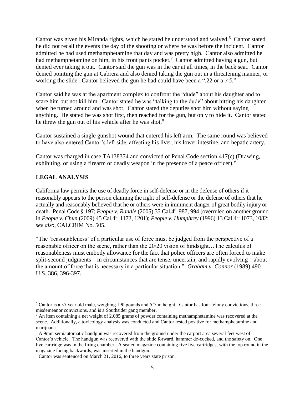Cantor was given his Miranda rights, which he stated he understood and waived.<sup>6</sup> Cantor stated he did not recall the events the day of the shooting or where he was before the incident. Cantor admitted he had used methamphetamine that day and was pretty high. Cantor also admitted he had methamphetamine on him, in his front pants pocket.<sup>7</sup> Cantor admitted having a gun, but denied ever taking it out. Cantor said the gun was in the car at all times, in the back seat. Cantor denied pointing the gun at Cabrera and also denied taking the gun out in a threatening manner, or working the slide. Cantor believed the gun he had could have been a ".22 or a .45."

Cantor said he was at the apartment complex to confront the "dude" about his daughter and to scare him but not kill him. Cantor stated he was "talking to the dude" about hitting his daughter when he turned around and was shot. Cantor stated the deputies shot him without saying anything. He stated he was shot first, then reached for the gun, but only to hide it. Cantor stated he threw the gun out of his vehicle after he was shot.<sup>8</sup>

Cantor sustained a single gunshot wound that entered his left arm. The same round was believed to have also entered Cantor's left side, affecting his liver, his lower intestine, and hepatic artery.

Cantor was charged in case TA138374 and convicted of Penal Code section 417(c) (Drawing, exhibiting, or using a firearm or deadly weapon in the presence of a peace officer).<sup>9</sup>

### **LEGAL ANALYSIS**

 $\overline{\phantom{a}}$ 

California law permits the use of deadly force in self-defense or in the defense of others if it reasonably appears to the person claiming the right of self-defense or the defense of others that he actually and reasonably believed that he or others were in imminent danger of great bodily injury or death. Penal Code § 197; *People v. Randle* (2005) 35 Cal.4th 987, 994 (overruled on another ground in *People v. Chun* (2009) 45 Cal.4<sup>th</sup> 1172, 1201); *People v. Humphrey* (1996) 13 Cal.4<sup>th</sup> 1073, 1082; *see also,* CALCRIM No. 505.

"The 'reasonableness' of a particular use of force must be judged from the perspective of a reasonable officer on the scene, rather than the 20/20 vision of hindsight…The calculus of reasonableness must embody allowance for the fact that police officers are often forced to make split-second judgments—in circumstances that are tense, uncertain, and rapidly evolving—about the amount of force that is necessary in a particular situation." *Graham v. Connor* (1989) 490 U.S. 386, 396-397.

<sup>&</sup>lt;sup>6</sup> Cantor is a 37 year old male, weighing 190 pounds and 5'7 in height. Cantor has four felony convictions, three misdemeanor convictions, and is a Southsider gang member.

 $<sup>7</sup>$  An item containing a net weight of 2.085 grams of powder containing methamphetamine was recovered at the</sup> scene. Additionally, a toxicology analysis was conducted and Cantor tested positive for methamphetamine and marijuana.

<sup>8</sup> A 9mm semiautomatic handgun was recovered from the ground under the carport area several feet west of Cantor's vehicle. The handgun was recovered with the slide forward, hammer de-cocked, and the safety on. One live cartridge was in the firing chamber. A seated magazine containing five live cartridges, with the top round in the magazine facing backwards, was inserted in the handgun.

<sup>&</sup>lt;sup>9</sup> Cantor was sentenced on March 21, 2016, to three years state prison.